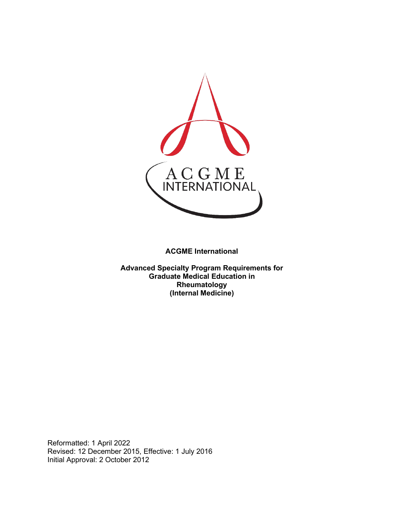

**ACGME International** 

**Advanced Specialty Program Requirements for Graduate Medical Education in Rheumatology (Internal Medicine)**

Reformatted: 1 April 2022 Revised: 12 December 2015, Effective: 1 July 2016 Initial Approval: 2 October 2012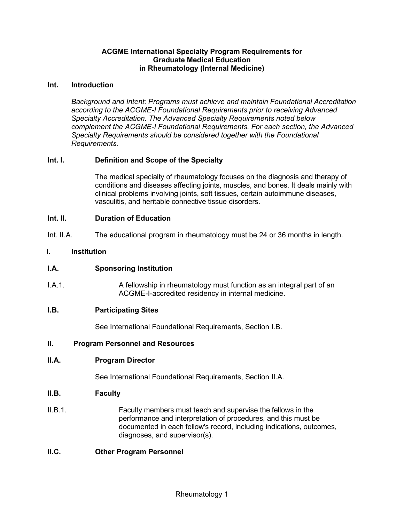### **ACGME International Specialty Program Requirements for Graduate Medical Education in Rheumatology (Internal Medicine)**

### **Int. Introduction**

*Background and Intent: Programs must achieve and maintain Foundational Accreditation according to the ACGME-I Foundational Requirements prior to receiving Advanced Specialty Accreditation. The Advanced Specialty Requirements noted below complement the ACGME-I Foundational Requirements. For each section, the Advanced Specialty Requirements should be considered together with the Foundational Requirements.*

## **Int. I. Definition and Scope of the Specialty**

The medical specialty of rheumatology focuses on the diagnosis and therapy of conditions and diseases affecting joints, muscles, and bones. It deals mainly with clinical problems involving joints, soft tissues, certain autoimmune diseases, vasculitis, and heritable connective tissue disorders.

### **Int. II. Duration of Education**

Int. II.A. The educational program in rheumatology must be 24 or 36 months in length.

### **I. Institution**

### **I.A. Sponsoring Institution**

I.A.1. A fellowship in rheumatology must function as an integral part of an ACGME-I-accredited residency in internal medicine.

### **I.B. Participating Sites**

See International Foundational Requirements, Section I.B.

### **II. Program Personnel and Resources**

### **II.A. Program Director**

See International Foundational Requirements, Section II.A.

### **II.B. Faculty**

II.B.1. Faculty members must teach and supervise the fellows in the performance and interpretation of procedures, and this must be documented in each fellow's record, including indications, outcomes, diagnoses, and supervisor(s).

### **II.C. Other Program Personnel**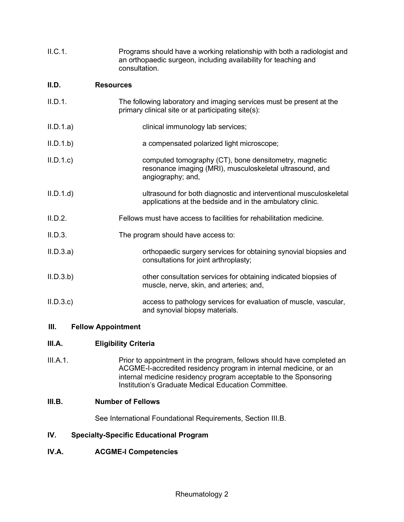| II.C.1.   | Programs should have a working relationship with both a radiologist and<br>an orthopaedic surgeon, including availability for teaching and<br>consultation. |
|-----------|-------------------------------------------------------------------------------------------------------------------------------------------------------------|
| II.D.     | <b>Resources</b>                                                                                                                                            |
| II.D.1.   | The following laboratory and imaging services must be present at the<br>primary clinical site or at participating site(s):                                  |
| II.D.1.a) | clinical immunology lab services;                                                                                                                           |
| II.D.1.b  | a compensated polarized light microscope;                                                                                                                   |
| II.D.1.c  | computed tomography (CT), bone densitometry, magnetic<br>resonance imaging (MRI), musculoskeletal ultrasound, and<br>angiography; and,                      |
| II.D.1.d  | ultrasound for both diagnostic and interventional musculoskeletal<br>applications at the bedside and in the ambulatory clinic.                              |
| II.D.2.   | Fellows must have access to facilities for rehabilitation medicine.                                                                                         |
| II.D.3.   | The program should have access to:                                                                                                                          |
| II.D.3.a) | orthopaedic surgery services for obtaining synovial biopsies and<br>consultations for joint arthroplasty;                                                   |
| II.D.3.b  | other consultation services for obtaining indicated biopsies of<br>muscle, nerve, skin, and arteries; and,                                                  |
| II.D.3.c  | access to pathology services for evaluation of muscle, vascular,<br>and synovial biopsy materials.                                                          |

# **III. Fellow Appointment**

# **III.A. Eligibility Criteria**

III.A.1. Prior to appointment in the program, fellows should have completed an ACGME-I-accredited residency program in internal medicine, or an internal medicine residency program acceptable to the Sponsoring Institution's Graduate Medical Education Committee.

# **III.B. Number of Fellows**

See International Foundational Requirements, Section III.B.

# **IV. Specialty-Specific Educational Program**

# **IV.A. ACGME-I Competencies**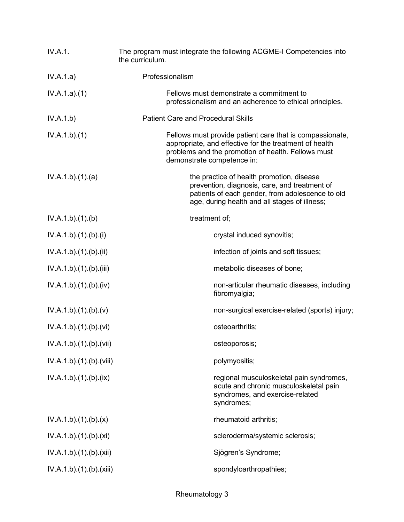| IV.A.1.                  | The program must integrate the following ACGME-I Competencies into<br>the curriculum.                                                                                                                  |
|--------------------------|--------------------------------------------------------------------------------------------------------------------------------------------------------------------------------------------------------|
| IV.A.1.a)                | Professionalism                                                                                                                                                                                        |
| IV.A.1.a)(1)             | Fellows must demonstrate a commitment to<br>professionalism and an adherence to ethical principles.                                                                                                    |
| IV.A.1.b)                | <b>Patient Care and Procedural Skills</b>                                                                                                                                                              |
| IV.A.1.b)(1)             | Fellows must provide patient care that is compassionate,<br>appropriate, and effective for the treatment of health<br>problems and the promotion of health. Fellows must<br>demonstrate competence in: |
| IV.A.1.b)(1)(a)          | the practice of health promotion, disease<br>prevention, diagnosis, care, and treatment of<br>patients of each gender, from adolescence to old<br>age, during health and all stages of illness;        |
| IV.A.1.b)(1)(b)          | treatment of;                                                                                                                                                                                          |
| IV.A.1.b)(1)(b)(i)       | crystal induced synovitis;                                                                                                                                                                             |
| IV.A.1.b)(1)(b)(ii)      | infection of joints and soft tissues;                                                                                                                                                                  |
| IV.A.1.b)(1)(b)(iii)     | metabolic diseases of bone;                                                                                                                                                                            |
| IV.A.1.b)(1)(b)(iv)      | non-articular rheumatic diseases, including<br>fibromyalgia;                                                                                                                                           |
| IV.A.1.b)(1)(b)(v)       | non-surgical exercise-related (sports) injury;                                                                                                                                                         |
| IV.A.1.b)(1)(b)(vi)      | osteoarthritis;                                                                                                                                                                                        |
| IV.A.1.b).(1).(b).(vii)  | osteoporosis;                                                                                                                                                                                          |
| IV.A.1.b)(1)(b)(viii)    | polymyositis;                                                                                                                                                                                          |
| IV.A.1.b).(1).(b).(ix)   | regional musculoskeletal pain syndromes,<br>acute and chronic musculoskeletal pain<br>syndromes, and exercise-related<br>syndromes;                                                                    |
| IV.A.1.b)(1)(b)(x)       | rheumatoid arthritis;                                                                                                                                                                                  |
| IV.A.1.b)(1)(b)(xi)      | scleroderma/systemic sclerosis;                                                                                                                                                                        |
| IV.A.1.b)(1)(b)(xii)     | Sjögren's Syndrome;                                                                                                                                                                                    |
| IV.A.1.b).(1).(b).(xiii) | spondyloarthropathies;                                                                                                                                                                                 |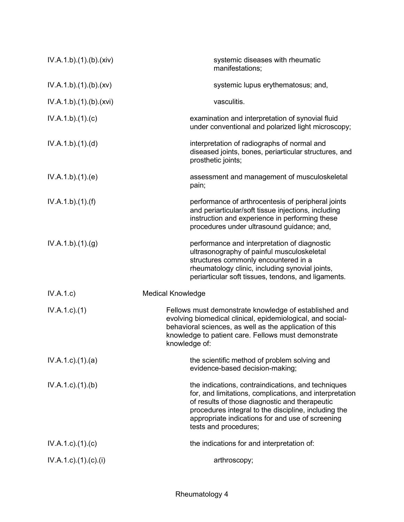| IV.A.1.b)(1)(b)(xiv)      | systemic diseases with rheumatic<br>manifestations;                                                                                                                                                                                                                                                  |
|---------------------------|------------------------------------------------------------------------------------------------------------------------------------------------------------------------------------------------------------------------------------------------------------------------------------------------------|
| IV.A.1.b)(1)(b)(xv)       | systemic lupus erythematosus; and,                                                                                                                                                                                                                                                                   |
| IV.A.1.b)(1)(b)(xvi)      | vasculitis.                                                                                                                                                                                                                                                                                          |
| IV.A.1.b)(1)(c)           | examination and interpretation of synovial fluid<br>under conventional and polarized light microscopy;                                                                                                                                                                                               |
| IV.A.1.b)(1)(d)           | interpretation of radiographs of normal and<br>diseased joints, bones, periarticular structures, and<br>prosthetic joints;                                                                                                                                                                           |
| IV.A.1.b)(1)(e)           | assessment and management of musculoskeletal<br>pain;                                                                                                                                                                                                                                                |
| IV.A.1.b)(1)(f)           | performance of arthrocentesis of peripheral joints<br>and periarticular/soft tissue injections, including<br>instruction and experience in performing these<br>procedures under ultrasound guidance; and,                                                                                            |
| IV.A.1.b)(1)(g)           | performance and interpretation of diagnostic<br>ultrasonography of painful musculoskeletal<br>structures commonly encountered in a<br>rheumatology clinic, including synovial joints,<br>periarticular soft tissues, tendons, and ligaments.                                                         |
| IV.A.1.c)                 | <b>Medical Knowledge</b>                                                                                                                                                                                                                                                                             |
| $IV.A.1.c.$ (1)           | Fellows must demonstrate knowledge of established and<br>evolving biomedical clinical, epidemiological, and social-<br>behavioral sciences, as well as the application of this<br>knowledge to patient care. Fellows must demonstrate<br>knowledge of:                                               |
| $IV.A.1.c$ . $(1).$ $(a)$ | the scientific method of problem solving and<br>evidence-based decision-making;                                                                                                                                                                                                                      |
| IV.A.1.c.1(1). (b)        | the indications, contraindications, and techniques<br>for, and limitations, complications, and interpretation<br>of results of those diagnostic and therapeutic<br>procedures integral to the discipline, including the<br>appropriate indications for and use of screening<br>tests and procedures; |
| $IV.A.1.c$ ). $(1).$ (c)  | the indications for and interpretation of:                                                                                                                                                                                                                                                           |
| IV.A.1.c).(1).(c).(i)     | arthroscopy;                                                                                                                                                                                                                                                                                         |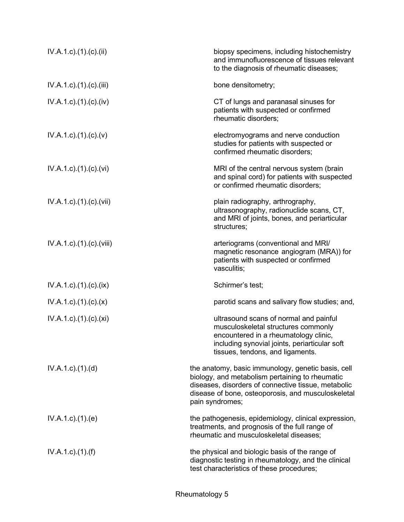| $IV.A.1.c$ ). $(1).$ (c). $(ii)$      | biopsy specimens, including histochemistry<br>and immunofluorescence of tissues relevant<br>to the diagnosis of rheumatic diseases;                                                                                                   |
|---------------------------------------|---------------------------------------------------------------------------------------------------------------------------------------------------------------------------------------------------------------------------------------|
| $IV.A.1.c$ . $(1).$ $(c).$ (iii)      | bone densitometry;                                                                                                                                                                                                                    |
| $IV.A.1.c$ . $(1). (c). (iv)$         | CT of lungs and paranasal sinuses for<br>patients with suspected or confirmed<br>rheumatic disorders;                                                                                                                                 |
| $IV.A.1.c$ ). $(1).$ (c). $(v)$       | electromyograms and nerve conduction<br>studies for patients with suspected or<br>confirmed rheumatic disorders;                                                                                                                      |
| $IV.A.1.c$ . $(1).$ $(c)$ . $(vi)$    | MRI of the central nervous system (brain<br>and spinal cord) for patients with suspected<br>or confirmed rheumatic disorders;                                                                                                         |
| $IV.A.1.c$ ). $(1)$ . $(c)$ . $(vii)$ | plain radiography, arthrography,<br>ultrasonography, radionuclide scans, CT,<br>and MRI of joints, bones, and periarticular<br>structures;                                                                                            |
| $IV.A.1.c$ . $(1).$ $(c)$ . $(viii)$  | arteriograms (conventional and MRI/<br>magnetic resonance angiogram (MRA)) for<br>patients with suspected or confirmed<br>vasculitis;                                                                                                 |
| $IV.A.1.c$ ). $(1).$ (c). $(ix)$      | Schirmer's test;                                                                                                                                                                                                                      |
| $IV.A.1.c$ . $(1). (c). (x)$          | parotid scans and salivary flow studies; and,                                                                                                                                                                                         |
| $IV.A.1.c$ ). $(1).$ (c). $(xi)$      | ultrasound scans of normal and painful<br>musculoskeletal structures commonly<br>encountered in a rheumatology clinic,<br>including synovial joints, periarticular soft<br>tissues, tendons, and ligaments.                           |
| $IV.A.1.c$ . $(1).$ $(d)$             | the anatomy, basic immunology, genetic basis, cell<br>biology, and metabolism pertaining to rheumatic<br>diseases, disorders of connective tissue, metabolic<br>disease of bone, osteoporosis, and musculoskeletal<br>pain syndromes; |
| $IV.A.1.c$ . $(1).$ (e)               | the pathogenesis, epidemiology, clinical expression,<br>treatments, and prognosis of the full range of<br>rheumatic and musculoskeletal diseases;                                                                                     |
| $IV.A.1.c$ ). $(1)$ . $(f)$           | the physical and biologic basis of the range of<br>diagnostic testing in rheumatology, and the clinical<br>test characteristics of these procedures;                                                                                  |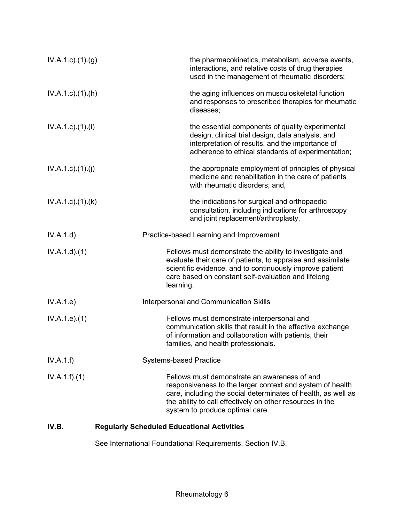| $IV.A.1.c.$ (1).(g)       | the pharmacokinetics, metabolism, adverse events,<br>interactions, and relative costs of drug therapies<br>used in the management of rheumatic disorders;                                                                                                                  |
|---------------------------|----------------------------------------------------------------------------------------------------------------------------------------------------------------------------------------------------------------------------------------------------------------------------|
| $IV.A.1.c$ . $(1).(h)$    | the aging influences on musculoskeletal function<br>and responses to prescribed therapies for rheumatic<br>diseases;                                                                                                                                                       |
| $IV.A.1.c$ ). $(1).$      | the essential components of quality experimental<br>design, clinical trial design, data analysis, and<br>interpretation of results, and the importance of<br>adherence to ethical standards of experimentation;                                                            |
| IV.A.1.c)(1)(j)           | the appropriate employment of principles of physical<br>medicine and rehabilitation in the care of patients<br>with rheumatic disorders; and,                                                                                                                              |
| $IV.A.1.c$ . $(1).$ $(k)$ | the indications for surgical and orthopaedic<br>consultation, including indications for arthroscopy<br>and joint replacement/arthroplasty.                                                                                                                                 |
| IV.A.1.d                  | Practice-based Learning and Improvement                                                                                                                                                                                                                                    |
| IV.A.1.d.(1)              | Fellows must demonstrate the ability to investigate and<br>evaluate their care of patients, to appraise and assimilate<br>scientific evidence, and to continuously improve patient<br>care based on constant self-evaluation and lifelong<br>learning.                     |
| IV.A.1.e)                 | Interpersonal and Communication Skills                                                                                                                                                                                                                                     |
| IV.A.1.e. (1)             | Fellows must demonstrate interpersonal and<br>communication skills that result in the effective exchange<br>of information and collaboration with patients, their<br>families, and health professionals.                                                                   |
| IV.A.1.f)                 | <b>Systems-based Practice</b>                                                                                                                                                                                                                                              |
| IV.A.1.f)(1)              | Fellows must demonstrate an awareness of and<br>responsiveness to the larger context and system of health<br>care, including the social determinates of health, as well as<br>the ability to call effectively on other resources in the<br>system to produce optimal care. |

# **IV.B. Regularly Scheduled Educational Activities**

See International Foundational Requirements, Section IV.B.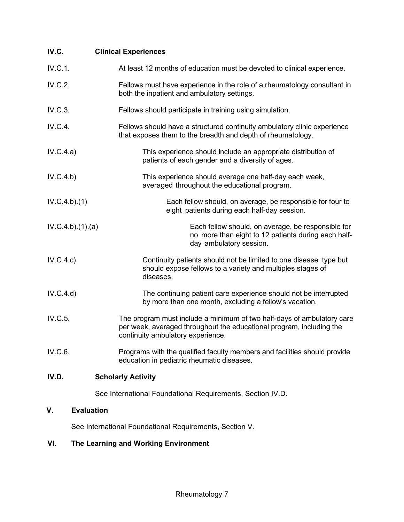| IV.C. | <b>Clinical Experiences</b> |
|-------|-----------------------------|
|-------|-----------------------------|

| IV.D.           | <b>Scholarly Activity</b>                                                                                                                                                           |
|-----------------|-------------------------------------------------------------------------------------------------------------------------------------------------------------------------------------|
| IV.C.6.         | Programs with the qualified faculty members and facilities should provide<br>education in pediatric rheumatic diseases.                                                             |
| IV.C.5.         | The program must include a minimum of two half-days of ambulatory care<br>per week, averaged throughout the educational program, including the<br>continuity ambulatory experience. |
| IV.C.4.d)       | The continuing patient care experience should not be interrupted<br>by more than one month, excluding a fellow's vacation.                                                          |
| IV.C.4.c)       | Continuity patients should not be limited to one disease type but<br>should expose fellows to a variety and multiples stages of<br>diseases.                                        |
| IV.C.4.b)(1)(a) | Each fellow should, on average, be responsible for<br>no more than eight to 12 patients during each half-<br>day ambulatory session.                                                |
| IV.C.4.b)(1)    | Each fellow should, on average, be responsible for four to<br>eight patients during each half-day session.                                                                          |
| IV.C.4.b)       | This experience should average one half-day each week,<br>averaged throughout the educational program.                                                                              |
| IV.C.4.a)       | This experience should include an appropriate distribution of<br>patients of each gender and a diversity of ages.                                                                   |
| IV.C.4.         | Fellows should have a structured continuity ambulatory clinic experience<br>that exposes them to the breadth and depth of rheumatology.                                             |
| IV.C.3.         | Fellows should participate in training using simulation.                                                                                                                            |
| IV.C.2.         | Fellows must have experience in the role of a rheumatology consultant in<br>both the inpatient and ambulatory settings.                                                             |
| IV.C.1.         | At least 12 months of education must be devoted to clinical experience.                                                                                                             |

See International Foundational Requirements, Section IV.D.

# **V. Evaluation**

See International Foundational Requirements, Section V.

# **VI. The Learning and Working Environment**